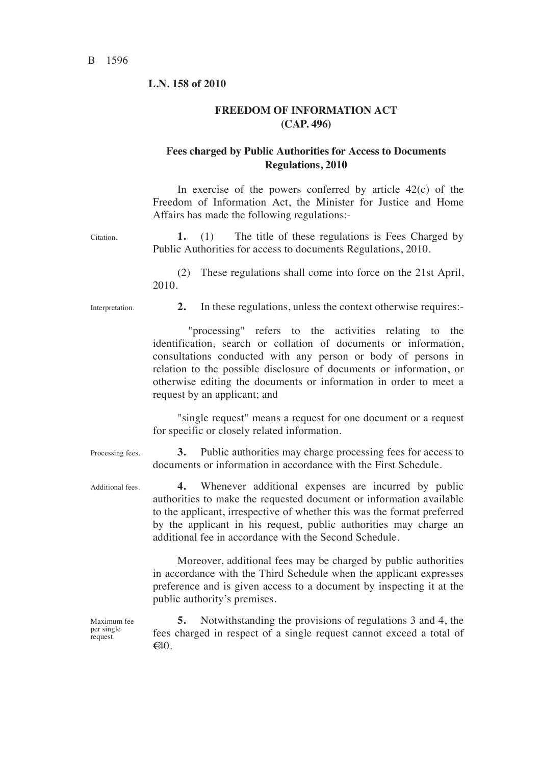#### **L.N. 158 of 2010**

#### **FREEDOM OF INFORMATION ACT (CAP. 496)**

### **Fees charged by Public Authorities for Access to Documents Regulations, 2010**

In exercise of the powers conferred by article  $42(c)$  of the Freedom of Information Act, the Minister for Justice and Home Affairs has made the following regulations:- Citation. **1.** (1) The title of these regulations is Fees Charged by Public Authorities for access to documents Regulations, 2010. (2) These regulations shall come into force on the 21st April, 2010. Interpretation. **2.** In these regulations, unless the context otherwise requires:- "processing" refers to the activities relating to the identification, search or collation of documents or information, consultations conducted with any person or body of persons in relation to the possible disclosure of documents or information, or otherwise editing the documents or information in order to meet a request by an applicant; and "single request" means a request for one document or a request for specific or closely related information. Processing fees. 3. Public authorities may charge processing fees for access to documents or information in accordance with the First Schedule. Additional fees. **4.** Whenever additional expenses are incurred by public authorities to make the requested document or information available to the applicant, irrespective of whether this was the format preferred by the applicant in his request, public authorities may charge an additional fee in accordance with the Second Schedule. Moreover, additional fees may be charged by public authorities in accordance with the Third Schedule when the applicant expresses preference and is given access to a document by inspecting it at the public authority's premises.

> **5.** Notwithstanding the provisions of regulations 3 and 4, the fees charged in respect of a single request cannot exceed a total of  $\epsilon$ 40.

Maximum fee per single request.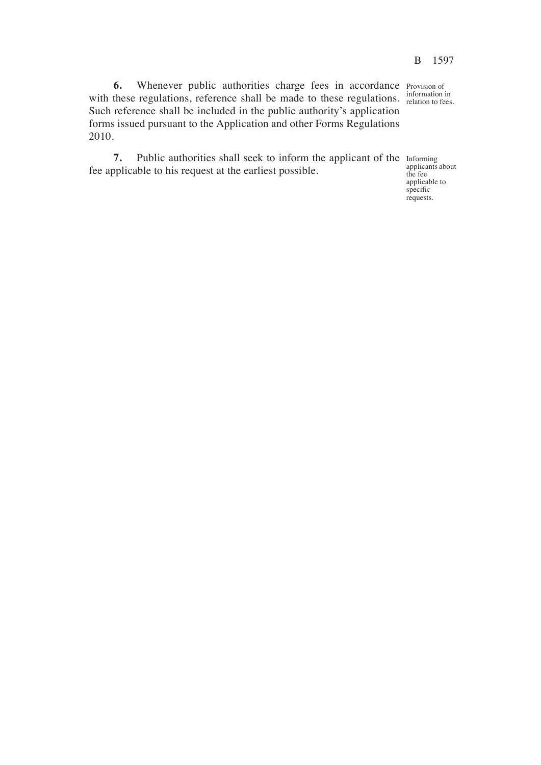**6.** Whenever public authorities charge fees in accordance Provision of with these regulations, reference shall be made to these regulations.  $\frac{1}{2}$  relation to fees. Such reference shall be included in the public authority's application forms issued pursuant to the Application and other Forms Regulations 2010.

**7.** Public authorities shall seek to inform the applicant of the fee applicable to his request at the earliest possible.

information in

Informing applicants about the fee applicable to specific requests.